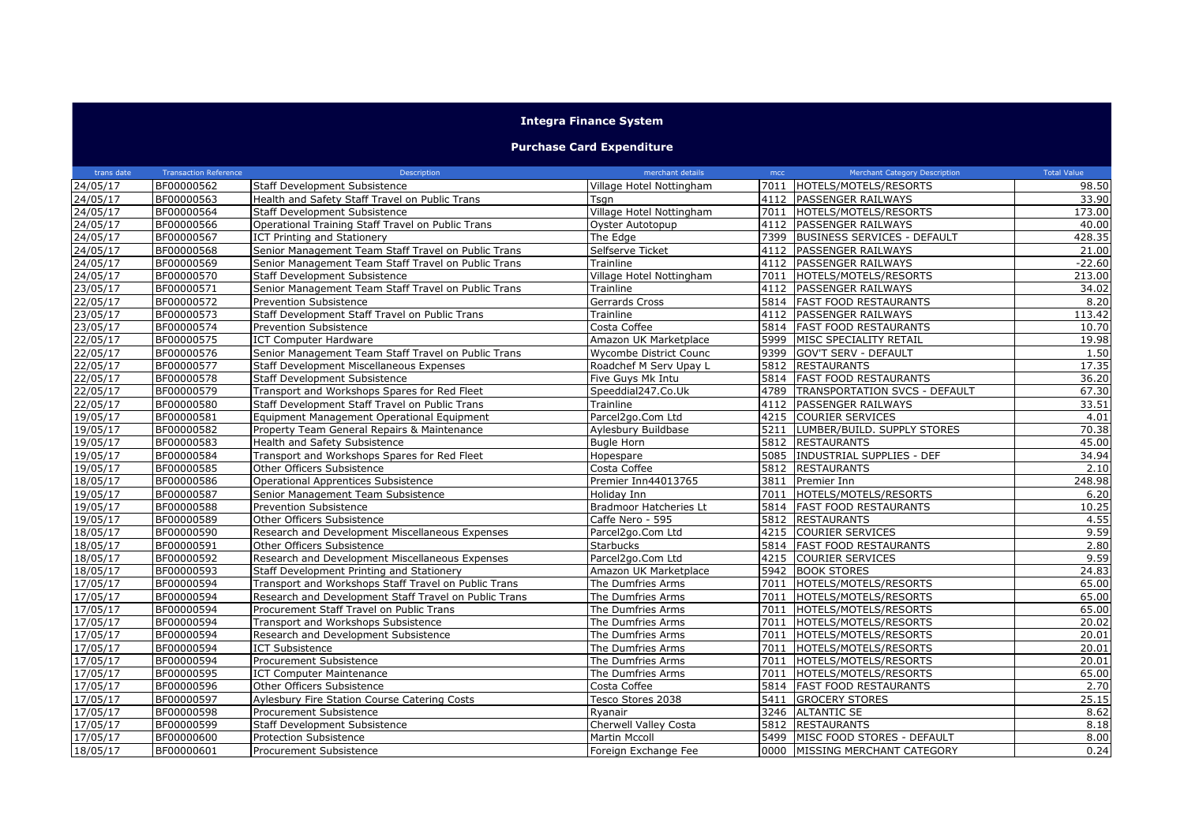## **Integra Finance System**

## **Purchase Card Expenditure**

| trans date            | <b>Transaction Reference</b> | Description                                           | merchant details         | mcc  | <b>Merchant Category Description</b> | <b>Total Value</b> |
|-----------------------|------------------------------|-------------------------------------------------------|--------------------------|------|--------------------------------------|--------------------|
| 24/05/17              | BF00000562                   | Staff Development Subsistence                         | Village Hotel Nottingham |      | 7011 HOTELS/MOTELS/RESORTS           | 98.50              |
| 24/05/17              | BF00000563                   | Health and Safety Staff Travel on Public Trans        | Tsgn                     |      | 4112 PASSENGER RAILWAYS              | 33.90              |
| 24/05/17              | BF00000564                   | Staff Development Subsistence                         | Village Hotel Nottingham | 7011 | HOTELS/MOTELS/RESORTS                | 173.00             |
| 24/05/17              | BF00000566                   | Operational Training Staff Travel on Public Trans     | Oyster Autotopup         |      | 4112 PASSENGER RAILWAYS              | 40.00              |
| 24/05/17              | BF00000567                   | ICT Printing and Stationery                           | The Edge                 |      | 7399 BUSINESS SERVICES - DEFAULT     | 428.35             |
| 24/05/17              | BF00000568                   | Senior Management Team Staff Travel on Public Trans   | Selfserve Ticket         |      | 4112 PASSENGER RAILWAYS              | 21.00              |
| 24/05/17              | BF00000569                   | Senior Management Team Staff Travel on Public Trans   | Trainline                |      | 4112 PASSENGER RAILWAYS              | $-22.60$           |
| 24/05/17              | BF00000570                   | <b>Staff Development Subsistence</b>                  | Village Hotel Nottingham |      | 7011 HOTELS/MOTELS/RESORTS           | 213.00             |
| 23/05/17              | BF00000571                   | Senior Management Team Staff Travel on Public Trans   | Trainline                |      | 4112 PASSENGER RAILWAYS              | 34.02              |
| 22/05/17              | BF00000572                   | Prevention Subsistence                                | Gerrards Cross           |      | 5814 FAST FOOD RESTAURANTS           | 8.20               |
| 23/05/17              | BF00000573                   | Staff Development Staff Travel on Public Trans        | Trainline                |      | 4112 PASSENGER RAILWAYS              | 113.42             |
| 23/05/17              | BF00000574                   | <b>Prevention Subsistence</b>                         | Costa Coffee             |      | 5814 FAST FOOD RESTAURANTS           | 10.70              |
| 22/05/17              | BF00000575                   | <b>ICT Computer Hardware</b>                          | Amazon UK Marketplace    | 5999 | <b>IMISC SPECIALITY RETAIL</b>       | 19.98              |
| 22/05/17              | BF00000576                   | Senior Management Team Staff Travel on Public Trans   | Wycombe District Counc   |      | 9399 GOV'T SERV - DEFAULT            | 1.50               |
| 22/05/17              | BF00000577                   | Staff Development Miscellaneous Expenses              | Roadchef M Serv Upay L   | 5812 | <b>RESTAURANTS</b>                   | 17.35              |
| 22/05/17              | BF00000578                   | <b>Staff Development Subsistence</b>                  | Five Guys Mk Intu        |      | 5814 FAST FOOD RESTAURANTS           | 36.20              |
| 22/05/17              | BF00000579                   | Transport and Workshops Spares for Red Fleet          | Speeddial247.Co.Uk       | 4789 | <b>TRANSPORTATION SVCS - DEFAULT</b> | 67.30              |
| 22/05/17              | BF00000580                   | Staff Development Staff Travel on Public Trans        | Trainline                |      | 4112 PASSENGER RAILWAYS              | 33.51              |
| 19/05/17              | BF00000581                   | Equipment Management Operational Equipment            | Parcel2go.Com Ltd        |      | 4215 COURIER SERVICES                | 4.01               |
| 19/05/17              | BF00000582                   | Property Team General Repairs & Maintenance           | Aylesbury Buildbase      |      | 5211 LUMBER/BUILD. SUPPLY STORES     | 70.38              |
| $19/05/\overline{17}$ | BF00000583                   | Health and Safety Subsistence                         | <b>Bugle Horn</b>        |      | 5812 RESTAURANTS                     | 45.00              |
| 19/05/17              | BF00000584                   | Transport and Workshops Spares for Red Fleet          | Hopespare                |      | 5085   INDUSTRIAL SUPPLIES - DEF     | 34.94              |
| 19/05/17              | BF00000585                   | Other Officers Subsistence                            | Costa Coffee             |      | 5812 RESTAURANTS                     | 2.10               |
| 18/05/17              | BF00000586                   | Operational Apprentices Subsistence                   | Premier Inn44013765      |      | 3811 Premier Inn                     | 248.98             |
| 19/05/17              | BF00000587                   | Senior Management Team Subsistence                    | Holiday Inn              | 7011 | HOTELS/MOTELS/RESORTS                | 6.20               |
| 19/05/17              | BF00000588                   | <b>Prevention Subsistence</b>                         | Bradmoor Hatcheries Lt   |      | 5814 FAST FOOD RESTAURANTS           | 10.25              |
| 19/05/17              | BF00000589                   | Other Officers Subsistence                            | Caffe Nero - 595         |      | 5812 RESTAURANTS                     | 4.55               |
| 18/05/17              | BF00000590                   | Research and Development Miscellaneous Expenses       | Parcel2go.Com Ltd        |      | 4215 COURIER SERVICES                | 9.59               |
| 18/05/17              | BF00000591                   | Other Officers Subsistence                            | <b>Starbucks</b>         |      | 5814 FAST FOOD RESTAURANTS           | 2.80               |
| 18/05/17              | BF00000592                   | Research and Development Miscellaneous Expenses       | Parcel2go.Com Ltd        |      | 4215 COURIER SERVICES                | 9.59               |
| 18/05/17              | BF00000593                   | Staff Development Printing and Stationery             | Amazon UK Marketplace    |      | 5942 BOOK STORES                     | 24.83              |
| 17/05/17              | BF00000594                   | Transport and Workshops Staff Travel on Public Trans  | The Dumfries Arms        |      | 7011 HOTELS/MOTELS/RESORTS           | 65.00              |
| 17/05/17              | BF00000594                   | Research and Development Staff Travel on Public Trans | The Dumfries Arms        |      | 7011 HOTELS/MOTELS/RESORTS           | 65.00              |
| 17/05/17              | BF00000594                   | Procurement Staff Travel on Public Trans              | The Dumfries Arms        | 7011 | HOTELS/MOTELS/RESORTS                | 65.00              |
| 17/05/17              | BF00000594                   | Transport and Workshops Subsistence                   | The Dumfries Arms        |      | 7011 HOTELS/MOTELS/RESORTS           | 20.02              |
| 17/05/17              | BF00000594                   | Research and Development Subsistence                  | The Dumfries Arms        | 7011 | HOTELS/MOTELS/RESORTS                | 20.01              |
| 17/05/17              | BF00000594                   | <b>ICT Subsistence</b>                                | The Dumfries Arms        | 7011 | HOTELS/MOTELS/RESORTS                | 20.01              |
| 17/05/17              | BF00000594                   | Procurement Subsistence                               | The Dumfries Arms        | 7011 | HOTELS/MOTELS/RESORTS                | 20.01              |
| 17/05/17              | BF00000595                   | ICT Computer Maintenance                              | The Dumfries Arms        |      | 7011   HOTELS/MOTELS/RESORTS         | 65.00              |
| 17/05/17              | BF00000596                   | Other Officers Subsistence                            | Costa Coffee             |      | 5814 FAST FOOD RESTAURANTS           | 2.70               |
| 17/05/17              | BF00000597                   | Aylesbury Fire Station Course Catering Costs          | Tesco Stores 2038        | 5411 | <b>GROCERY STORES</b>                | 25.15              |
| 17/05/17              | BF00000598                   | Procurement Subsistence                               | Ryanair                  |      | 3246 ALTANTIC SE                     | 8.62               |
| 17/05/17              | BF00000599                   | <b>Staff Development Subsistence</b>                  | Cherwell Valley Costa    |      | 5812 RESTAURANTS                     | 8.18               |
| 17/05/17              | BF00000600                   | <b>Protection Subsistence</b>                         | <b>Martin Mccoll</b>     | 5499 | MISC FOOD STORES - DEFAULT           | 8.00               |
| 18/05/17              | BF00000601                   | Procurement Subsistence                               | Foreign Exchange Fee     |      | 0000 MISSING MERCHANT CATEGORY       | 0.24               |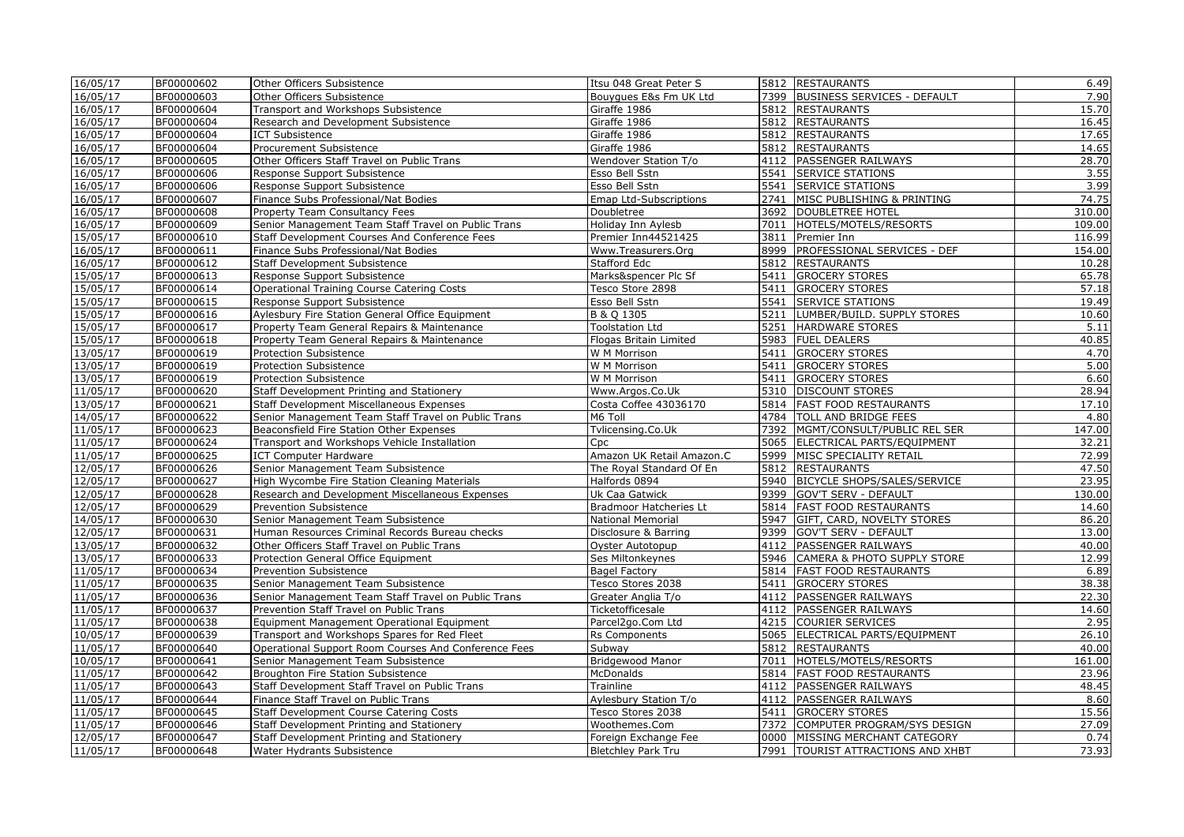| 16/05/17 | BF00000602 | Other Officers Subsistence                           | Itsu 048 Great Peter S    |      | 5812 RESTAURANTS                    | 6.49   |
|----------|------------|------------------------------------------------------|---------------------------|------|-------------------------------------|--------|
| 16/05/17 | BF00000603 | Other Officers Subsistence                           | Bouygues E&s Fm UK Ltd    |      | 7399   BUSINESS SERVICES - DEFAULT  | 7.90   |
| 16/05/17 | BF00000604 | Transport and Workshops Subsistence                  | Giraffe 1986              |      | 5812 RESTAURANTS                    | 15.70  |
| 16/05/17 | BF00000604 | Research and Development Subsistence                 | Giraffe 1986              |      | 5812 RESTAURANTS                    | 16.45  |
| 16/05/17 | BF00000604 | <b>ICT Subsistence</b>                               | Giraffe 1986              |      | 5812 RESTAURANTS                    | 17.65  |
| 16/05/17 | BF00000604 | Procurement Subsistence                              | Giraffe 1986              |      | 5812 RESTAURANTS                    | 14.65  |
| 16/05/17 | BF00000605 | Other Officers Staff Travel on Public Trans          | Wendover Station T/o      |      | 4112 PASSENGER RAILWAYS             | 28.70  |
| 16/05/17 | BF00000606 | Response Support Subsistence                         | Esso Bell Sstn            |      | 5541 SERVICE STATIONS               | 3.55   |
| 16/05/17 | BF00000606 | Response Support Subsistence                         | Esso Bell Sstn            |      | 5541 SERVICE STATIONS               | 3.99   |
| 16/05/17 | BF00000607 | Finance Subs Professional/Nat Bodies                 | Emap Ltd-Subscriptions    |      | 2741 MISC PUBLISHING & PRINTING     | 74.75  |
| 16/05/17 | BF00000608 | Property Team Consultancy Fees                       | Doubletree                |      | 3692   DOUBLETREE HOTEL             | 310.00 |
| 16/05/17 | BF00000609 | Senior Management Team Staff Travel on Public Trans  | Holiday Inn Aylesb        |      | 7011  HOTELS/MOTELS/RESORTS         | 109.00 |
| 15/05/17 | BF00000610 | Staff Development Courses And Conference Fees        | Premier Inn44521425       | 3811 | Premier Inn                         | 116.99 |
| 16/05/17 | BF00000611 | Finance Subs Professional/Nat Bodies                 | Www.Treasurers.Org        |      | 8999 PROFESSIONAL SERVICES - DEF    | 154.00 |
| 16/05/17 | BF00000612 | <b>Staff Development Subsistence</b>                 | Stafford Edc              |      | 5812 RESTAURANTS                    | 10.28  |
| 15/05/17 | BF00000613 | Response Support Subsistence                         | Marks&spencer Plc Sf      |      | 5411 GROCERY STORES                 | 65.78  |
| 15/05/17 | BF00000614 | <b>Operational Training Course Catering Costs</b>    | Tesco Store 2898          |      | 5411 GROCERY STORES                 | 57.18  |
| 15/05/17 | BF00000615 | Response Support Subsistence                         | Esso Bell Sstn            |      | 5541 SERVICE STATIONS               | 19.49  |
| 15/05/17 | BF00000616 | Aylesbury Fire Station General Office Equipment      | B & Q 1305                |      | 5211   LUMBER/BUILD. SUPPLY STORES  | 10.60  |
| 15/05/17 | BF00000617 | Property Team General Repairs & Maintenance          | <b>Toolstation Ltd</b>    |      | 5251 HARDWARE STORES                | 5.11   |
| 15/05/17 | BF00000618 | Property Team General Repairs & Maintenance          | Flogas Britain Limited    |      | 5983 FUEL DEALERS                   | 40.85  |
| 13/05/17 | BF00000619 | Protection Subsistence                               | W M Morrison              |      | 5411 GROCERY STORES                 | 4.70   |
| 13/05/17 | BF00000619 | Protection Subsistence                               | W M Morrison              |      | 5411 GROCERY STORES                 | 5.00   |
| 13/05/17 | BF00000619 | <b>Protection Subsistence</b>                        | W M Morrison              |      | 5411 GROCERY STORES                 | 6.60   |
| 11/05/17 | BF00000620 |                                                      | Www.Argos.Co.Uk           |      | 5310 DISCOUNT STORES                | 28.94  |
|          |            | Staff Development Printing and Stationery            | Costa Coffee 43036170     |      | 5814 FAST FOOD RESTAURANTS          |        |
| 13/05/17 | BF00000621 | Staff Development Miscellaneous Expenses             |                           |      |                                     | 17.10  |
| 14/05/17 | BF00000622 | Senior Management Team Staff Travel on Public Trans  | M6 Toll                   |      | 4784   TOLL AND BRIDGE FEES         | 4.80   |
| 11/05/17 | BF00000623 | Beaconsfield Fire Station Other Expenses             | Tvlicensing.Co.Uk         |      | 7392 MGMT/CONSULT/PUBLIC REL SER    | 147.00 |
| 11/05/17 | BF00000624 | Transport and Workshops Vehicle Installation         | Cpc                       |      | 5065 ELECTRICAL PARTS/EQUIPMENT     | 32.21  |
| 11/05/17 | BF00000625 | <b>ICT Computer Hardware</b>                         | Amazon UK Retail Amazon.C |      | 5999 MISC SPECIALITY RETAIL         | 72.99  |
| 12/05/17 | BF00000626 | Senior Management Team Subsistence                   | The Royal Standard Of En  |      | 5812 RESTAURANTS                    | 47.50  |
| 12/05/17 | BF00000627 | High Wycombe Fire Station Cleaning Materials         | Halfords 0894             |      | 5940 BICYCLE SHOPS/SALES/SERVICE    | 23.95  |
| 12/05/17 | BF00000628 | Research and Development Miscellaneous Expenses      | Uk Caa Gatwick            |      | 9399 GOV'T SERV - DEFAULT           | 130.00 |
| 12/05/17 | BF00000629 | Prevention Subsistence                               | Bradmoor Hatcheries Lt    |      | 5814   FAST FOOD RESTAURANTS        | 14.60  |
| 14/05/17 | BF00000630 | Senior Management Team Subsistence                   | <b>National Memorial</b>  |      | 5947 GIFT, CARD, NOVELTY STORES     | 86.20  |
| 12/05/17 | BF00000631 | Human Resources Criminal Records Bureau checks       | Disclosure & Barring      | 9399 | <b>GOV'T SERV - DEFAULT</b>         | 13.00  |
| 13/05/17 | BF00000632 | Other Officers Staff Travel on Public Trans          | Oyster Autotopup          |      | 4112 PASSENGER RAILWAYS             | 40.00  |
| 13/05/17 | BF00000633 | Protection General Office Equipment                  | Ses Miltonkeynes          |      | 5946 CAMERA & PHOTO SUPPLY STORE    | 12.99  |
| 11/05/17 | BF00000634 | Prevention Subsistence                               | <b>Bagel Factory</b>      |      | 5814   FAST FOOD RESTAURANTS        | 6.89   |
| 11/05/17 | BF00000635 | Senior Management Team Subsistence                   | Tesco Stores 2038         |      | 5411 GROCERY STORES                 | 38.38  |
| 11/05/17 | BF00000636 | Senior Management Team Staff Travel on Public Trans  | Greater Anglia T/o        |      | 4112 PASSENGER RAILWAYS             | 22.30  |
| 11/05/17 | BF00000637 | Prevention Staff Travel on Public Trans              | Ticketofficesale          |      | 4112 PASSENGER RAILWAYS             | 14.60  |
| 11/05/17 | BF00000638 | Equipment Management Operational Equipment           | Parcel2go.Com Ltd         |      | 4215 COURIER SERVICES               | 2.95   |
| 10/05/17 | BF00000639 | Transport and Workshops Spares for Red Fleet         | <b>Rs Components</b>      |      | 5065 ELECTRICAL PARTS/EQUIPMENT     | 26.10  |
| 11/05/17 | BF00000640 | Operational Support Room Courses And Conference Fees | Subway                    |      | 5812 RESTAURANTS                    | 40.00  |
| 10/05/17 | BF00000641 | Senior Management Team Subsistence                   | <b>Bridgewood Manor</b>   |      | 7011 HOTELS/MOTELS/RESORTS          | 161.00 |
| 11/05/17 | BF00000642 | Broughton Fire Station Subsistence                   | <b>McDonalds</b>          |      | 5814   FAST FOOD RESTAURANTS        | 23.96  |
| 11/05/17 | BF00000643 | Staff Development Staff Travel on Public Trans       | Trainline                 |      | 4112 PASSENGER RAILWAYS             | 48.45  |
| 11/05/17 | BF00000644 | Finance Staff Travel on Public Trans                 | Aylesbury Station T/o     |      | 4112 PASSENGER RAILWAYS             | 8.60   |
| 11/05/17 | BF00000645 | Staff Development Course Catering Costs              | Tesco Stores 2038         |      | 5411 GROCERY STORES                 | 15.56  |
| 11/05/17 | BF00000646 | Staff Development Printing and Stationery            | Woothemes.Com             |      | 7372 COMPUTER PROGRAM/SYS DESIGN    | 27.09  |
| 12/05/17 | BF00000647 | Staff Development Printing and Stationery            | Foreign Exchange Fee      |      | 0000 MISSING MERCHANT CATEGORY      | 0.74   |
| 11/05/17 | BF00000648 | Water Hydrants Subsistence                           | <b>Bletchley Park Tru</b> |      | 7991   TOURIST ATTRACTIONS AND XHBT | 73.93  |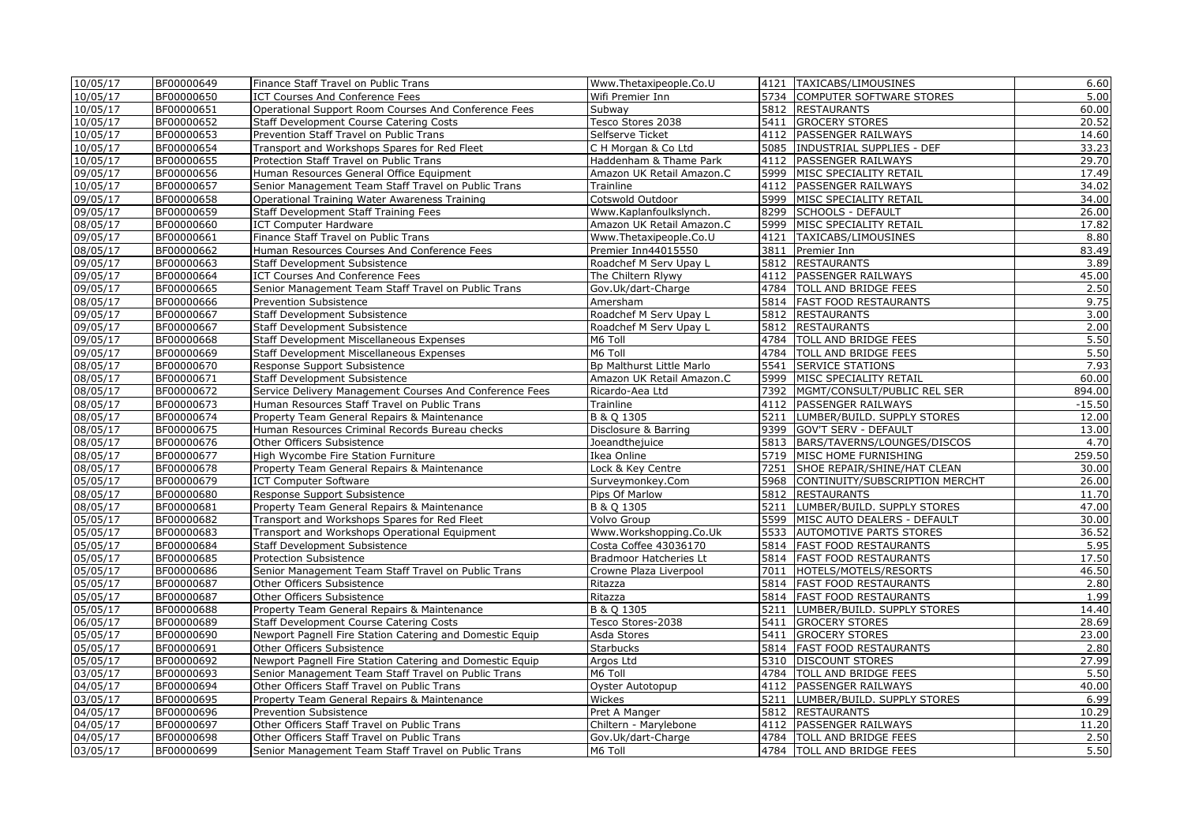| 10/05/17 | BF00000649 | Finance Staff Travel on Public Trans                     | Www.Thetaxipeople.Co.U    |      | 4121   TAXICABS/LIMOUSINES         | 6.60     |
|----------|------------|----------------------------------------------------------|---------------------------|------|------------------------------------|----------|
| 10/05/17 | BF00000650 | ICT Courses And Conference Fees                          | Wifi Premier Inn          |      | 5734 COMPUTER SOFTWARE STORES      | 5.00     |
| 10/05/17 | BF00000651 | Operational Support Room Courses And Conference Fees     | Subway                    |      | 5812 RESTAURANTS                   | 60.00    |
| 10/05/17 | BF00000652 | Staff Development Course Catering Costs                  | Tesco Stores 2038         |      | 5411 GROCERY STORES                | 20.52    |
| 10/05/17 | BF00000653 | Prevention Staff Travel on Public Trans                  | Selfserve Ticket          |      | 4112 PASSENGER RAILWAYS            | 14.60    |
| 10/05/17 | BF00000654 | Transport and Workshops Spares for Red Fleet             | C H Morgan & Co Ltd       |      | 5085 INDUSTRIAL SUPPLIES - DEF     | 33.23    |
| 10/05/17 | BF00000655 | Protection Staff Travel on Public Trans                  | Haddenham & Thame Park    |      | 4112   PASSENGER RAILWAYS          | 29.70    |
| 09/05/17 | BF00000656 | Human Resources General Office Equipment                 | Amazon UK Retail Amazon.C |      | 5999 MISC SPECIALITY RETAIL        | 17.49    |
| 10/05/17 | BF00000657 | Senior Management Team Staff Travel on Public Trans      | Trainline                 |      | 4112 PASSENGER RAILWAYS            | 34.02    |
| 09/05/17 | BF00000658 | Operational Training Water Awareness Training            | Cotswold Outdoor          |      | 5999 MISC SPECIALITY RETAIL        | 34.00    |
| 09/05/17 | BF00000659 | Staff Development Staff Training Fees                    | Www.Kaplanfoulkslynch.    |      | 8299 SCHOOLS - DEFAULT             | 26.00    |
| 08/05/17 | BF00000660 | <b>ICT Computer Hardware</b>                             | Amazon UK Retail Amazon.C |      | 5999 MISC SPECIALITY RETAIL        | 17.82    |
| 09/05/17 | BF00000661 | Finance Staff Travel on Public Trans                     | Www.Thetaxipeople.Co.U    |      | 4121   TAXICABS/LIMOUSINES         | 8.80     |
| 08/05/17 | BF00000662 | Human Resources Courses And Conference Fees              | Premier Inn44015550       |      | 3811 Premier Inn                   | 83.49    |
| 09/05/17 | BF00000663 | Staff Development Subsistence                            | Roadchef M Serv Upay L    |      | 5812 RESTAURANTS                   | 3.89     |
| 09/05/17 | BF00000664 | ICT Courses And Conference Fees                          | The Chiltern Rlywy        |      | 4112 PASSENGER RAILWAYS            | 45.00    |
| 09/05/17 | BF00000665 | Senior Management Team Staff Travel on Public Trans      | Gov.Uk/dart-Charge        |      | 4784   TOLL AND BRIDGE FEES        | 2.50     |
| 08/05/17 | BF00000666 | Prevention Subsistence                                   | Amersham                  |      | 5814   FAST FOOD RESTAURANTS       | 9.75     |
| 09/05/17 | BF00000667 | Staff Development Subsistence                            | Roadchef M Serv Upay L    |      | 5812 RESTAURANTS                   | 3.00     |
| 09/05/17 | BF00000667 | Staff Development Subsistence                            | Roadchef M Serv Upay L    |      | 5812 RESTAURANTS                   | 2.00     |
| 09/05/17 | BF00000668 | <b>Staff Development Miscellaneous Expenses</b>          | M6 Toll                   |      | 4784   TOLL AND BRIDGE FEES        | 5.50     |
| 09/05/17 | BF00000669 | <b>Staff Development Miscellaneous Expenses</b>          | M6 Toll                   |      | 4784 TOLL AND BRIDGE FEES          | 5.50     |
| 08/05/17 | BF00000670 | Response Support Subsistence                             | Bp Malthurst Little Marlo | 5541 | <b>SERVICE STATIONS</b>            | 7.93     |
| 08/05/17 | BF00000671 | Staff Development Subsistence                            | Amazon UK Retail Amazon.C |      | 5999 MISC SPECIALITY RETAIL        | 60.00    |
| 08/05/17 | BF00000672 | Service Delivery Management Courses And Conference Fees  | Ricardo-Aea Ltd           |      | 7392 MGMT/CONSULT/PUBLIC REL SER   | 894.00   |
| 08/05/17 | BF00000673 | Human Resources Staff Travel on Public Trans             | Trainline                 |      | 4112   PASSENGER RAILWAYS          | $-15.50$ |
| 08/05/17 | BF00000674 | Property Team General Repairs & Maintenance              | B & Q 1305                |      | 5211 LUMBER/BUILD. SUPPLY STORES   | 12.00    |
| 08/05/17 | BF00000675 | Human Resources Criminal Records Bureau checks           | Disclosure & Barring      |      | 9399 GOV'T SERV - DEFAULT          | 13.00    |
| 08/05/17 | BF00000676 | Other Officers Subsistence                               | Joeandthejuice            |      | 5813 BARS/TAVERNS/LOUNGES/DISCOS   | 4.70     |
| 08/05/17 | BF00000677 | High Wycombe Fire Station Furniture                      | Ikea Online               |      | 5719 MISC HOME FURNISHING          | 259.50   |
| 08/05/17 | BF00000678 | Property Team General Repairs & Maintenance              | Lock & Key Centre         | 7251 | SHOE REPAIR/SHINE/HAT CLEAN        | 30.00    |
| 05/05/17 | BF00000679 | <b>ICT Computer Software</b>                             | Surveymonkey.Com          | 5968 | CONTINUITY/SUBSCRIPTION MERCHT     | 26.00    |
| 08/05/17 | BF00000680 | Response Support Subsistence                             | Pips Of Marlow            | 5812 | <b>RESTAURANTS</b>                 | 11.70    |
| 08/05/17 | BF00000681 | Property Team General Repairs & Maintenance              | B & Q 1305                | 5211 | LUMBER/BUILD. SUPPLY STORES        | 47.00    |
| 05/05/17 | BF00000682 | Transport and Workshops Spares for Red Fleet             | Volvo Group               |      | 5599   MISC AUTO DEALERS - DEFAULT | 30.00    |
| 05/05/17 | BF00000683 | Transport and Workshops Operational Equipment            | Www.Workshopping.Co.Uk    | 5533 | <b>AUTOMOTIVE PARTS STORES</b>     | 36.52    |
| 05/05/17 | BF00000684 | <b>Staff Development Subsistence</b>                     | Costa Coffee 43036170     |      | 5814   FAST FOOD RESTAURANTS       | 5.95     |
| 05/05/17 | BF00000685 | Protection Subsistence                                   | Bradmoor Hatcheries Lt    |      | 5814   FAST FOOD RESTAURANTS       | 17.50    |
| 05/05/17 | BF00000686 | Senior Management Team Staff Travel on Public Trans      | Crowne Plaza Liverpool    |      | 7011 HOTELS/MOTELS/RESORTS         | 46.50    |
| 05/05/17 | BF00000687 | Other Officers Subsistence                               | Ritazza                   |      | 5814 FAST FOOD RESTAURANTS         | 2.80     |
| 05/05/17 | BF00000687 | Other Officers Subsistence                               | Ritazza                   |      | 5814   FAST FOOD RESTAURANTS       | 1.99     |
| 05/05/17 | BF00000688 | Property Team General Repairs & Maintenance              | B & O 1305                |      | 5211   LUMBER/BUILD. SUPPLY STORES | 14.40    |
| 06/05/17 | BF00000689 | <b>Staff Development Course Catering Costs</b>           | Tesco Stores-2038         |      | 5411 GROCERY STORES                | 28.69    |
| 05/05/17 | BF00000690 | Newport Pagnell Fire Station Catering and Domestic Equip | Asda Stores               |      | 5411 GROCERY STORES                | 23.00    |
| 05/05/17 | BF00000691 | Other Officers Subsistence                               | <b>Starbucks</b>          |      | 5814 FAST FOOD RESTAURANTS         | 2.80     |
| 05/05/17 | BF00000692 | Newport Pagnell Fire Station Catering and Domestic Equip | Argos Ltd                 |      | 5310   DISCOUNT STORES             | 27.99    |
| 03/05/17 | BF00000693 | Senior Management Team Staff Travel on Public Trans      | M6 Toll                   |      | 4784 TOLL AND BRIDGE FEES          | 5.50     |
| 04/05/17 | BF00000694 | Other Officers Staff Travel on Public Trans              | Oyster Autotopup          |      | 4112 PASSENGER RAILWAYS            | 40.00    |
| 03/05/17 | BF00000695 | Property Team General Repairs & Maintenance              | Wickes                    |      | 5211 LUMBER/BUILD. SUPPLY STORES   | 6.99     |
| 04/05/17 | BF00000696 | Prevention Subsistence                                   | Pret A Manger             |      | 5812 RESTAURANTS                   | 10.29    |
| 04/05/17 | BF00000697 | Other Officers Staff Travel on Public Trans              | Chiltern - Marylebone     | 4112 | <b>PASSENGER RAILWAYS</b>          | 11.20    |
| 04/05/17 | BF00000698 | Other Officers Staff Travel on Public Trans              | Gov.Uk/dart-Charge        |      | 4784   TOLL AND BRIDGE FEES        | 2.50     |
| 03/05/17 | BF00000699 | Senior Management Team Staff Travel on Public Trans      | M6 Toll                   |      | 4784   TOLL AND BRIDGE FEES        | 5.50     |
|          |            |                                                          |                           |      |                                    |          |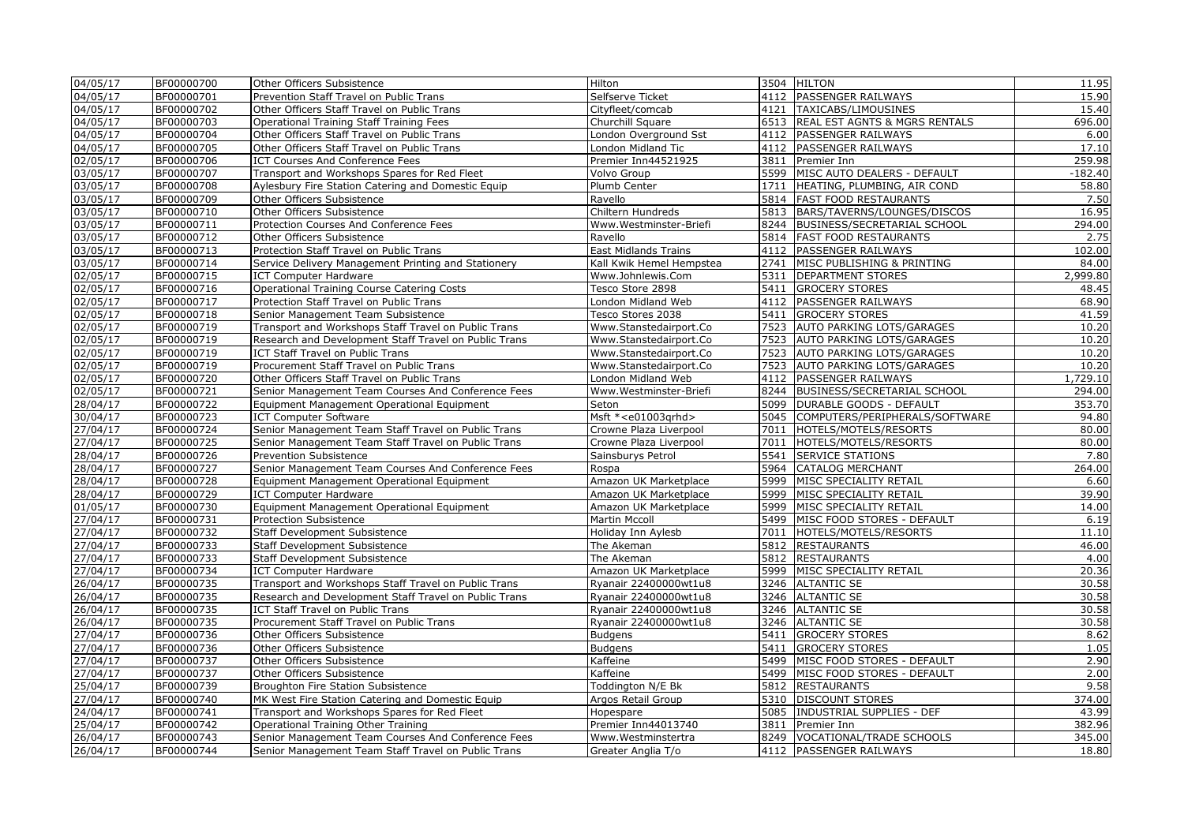| 04/05/17 | BF00000700               | Other Officers Subsistence                                                                                 | Hilton                           |              | 3504 HILTON                                        | 11.95     |
|----------|--------------------------|------------------------------------------------------------------------------------------------------------|----------------------------------|--------------|----------------------------------------------------|-----------|
| 04/05/17 | BF00000701               | Prevention Staff Travel on Public Trans                                                                    | Selfserve Ticket                 | 4112         | <b>PASSENGER RAILWAYS</b>                          | 15.90     |
| 04/05/17 | BF00000702               | Other Officers Staff Travel on Public Trans                                                                | Cityfleet/comcab                 | 4121         | TAXICABS/LIMOUSINES                                | 15.40     |
| 04/05/17 | BF00000703               | Operational Training Staff Training Fees                                                                   | Churchill Square                 |              | 6513   REAL EST AGNTS & MGRS RENTALS               | 696.00    |
| 04/05/17 | BF00000704               | Other Officers Staff Travel on Public Trans                                                                | London Overground Sst            | 4112         | <b>PASSENGER RAILWAYS</b>                          | 6.00      |
| 04/05/17 | BF00000705               | Other Officers Staff Travel on Public Trans                                                                | London Midland Tic               | 4112         | <b>PASSENGER RAILWAYS</b>                          | 17.10     |
| 02/05/17 | BF00000706               | ICT Courses And Conference Fees                                                                            | Premier Inn44521925              | 3811         | Premier Inn                                        | 259.98    |
| 03/05/17 | BF00000707               | Transport and Workshops Spares for Red Fleet                                                               | Volvo Group                      |              | 5599 MISC AUTO DEALERS - DEFAULT                   | $-182.40$ |
| 03/05/17 | BF00000708               | Aylesbury Fire Station Catering and Domestic Equip                                                         | Plumb Center                     | 1711         | HEATING, PLUMBING, AIR COND                        | 58.80     |
| 03/05/17 | BF00000709               | Other Officers Subsistence                                                                                 | Ravello                          |              | 5814   FAST FOOD RESTAURANTS                       | 7.50      |
| 03/05/17 | BF00000710               | Other Officers Subsistence                                                                                 | Chiltern Hundreds                |              | 5813 BARS/TAVERNS/LOUNGES/DISCOS                   | 16.95     |
| 03/05/17 | BF00000711               | Protection Courses And Conference Fees                                                                     | Www.Westminster-Briefi           |              | 8244 BUSINESS/SECRETARIAL SCHOOL                   | 294.00    |
| 03/05/17 | BF00000712               | Other Officers Subsistence                                                                                 | Ravello                          |              | 5814 FAST FOOD RESTAURANTS                         | 2.75      |
| 03/05/17 | BF00000713               | Protection Staff Travel on Public Trans                                                                    | <b>East Midlands Trains</b>      |              | 4112 PASSENGER RAILWAYS                            | 102.00    |
| 03/05/17 | BF00000714               | Service Delivery Management Printing and Stationery                                                        | Kall Kwik Hemel Hempstea         | 2741         | MISC PUBLISHING & PRINTING                         | 84.00     |
| 02/05/17 | BF00000715               | <b>ICT Computer Hardware</b>                                                                               | Www.Johnlewis.Com                | 5311         | <b>DEPARTMENT STORES</b>                           | 2,999.80  |
| 02/05/17 | BF00000716               | <b>Operational Training Course Catering Costs</b>                                                          | Tesco Store 2898                 | 5411         | <b>GROCERY STORES</b>                              | 48.45     |
| 02/05/17 | BF00000717               | Protection Staff Travel on Public Trans                                                                    | London Midland Web               | 4112         | <b>PASSENGER RAILWAYS</b>                          | 68.90     |
| 02/05/17 | BF00000718               | Senior Management Team Subsistence                                                                         | Tesco Stores 2038                | 5411         | <b>GROCERY STORES</b>                              | 41.59     |
| 02/05/17 | BF00000719               | Transport and Workshops Staff Travel on Public Trans                                                       | Www.Stanstedairport.Co           | 7523         | <b>AUTO PARKING LOTS/GARAGES</b>                   | 10.20     |
| 02/05/17 | BF00000719               | Research and Development Staff Travel on Public Trans                                                      | Www.Stanstedairport.Co           | 7523         | <b>AUTO PARKING LOTS/GARAGES</b>                   | 10.20     |
| 02/05/17 | BF00000719               | ICT Staff Travel on Public Trans                                                                           | Www.Stanstedairport.Co           | 7523         | AUTO PARKING LOTS/GARAGES                          | 10.20     |
| 02/05/17 | BF00000719               | Procurement Staff Travel on Public Trans                                                                   | Www.Stanstedairport.Co           | 7523         | AUTO PARKING LOTS/GARAGES                          | 10.20     |
| 02/05/17 | BF00000720               | Other Officers Staff Travel on Public Trans                                                                | London Midland Web               | 4112         | <b>PASSENGER RAILWAYS</b>                          | ,729.10   |
| 02/05/17 | BF00000721               | Senior Management Team Courses And Conference Fees                                                         | Www.Westminster-Briefi           |              | 8244 BUSINESS/SECRETARIAL SCHOOL                   | 294.00    |
| 28/04/17 | BF00000722               | Equipment Management Operational Equipment                                                                 | Seton                            | 5099         | <b>DURABLE GOODS - DEFAULT</b>                     | 353.70    |
|          |                          |                                                                                                            | Msft * <e01003grhd></e01003grhd> |              |                                                    | 94.80     |
| 30/04/17 | BF00000723               | <b>ICT Computer Software</b>                                                                               |                                  |              | 5045 COMPUTERS/PERIPHERALS/SOFTWARE                | 80.00     |
| 27/04/17 | BF00000724               | Senior Management Team Staff Travel on Public Trans<br>Senior Management Team Staff Travel on Public Trans | Crowne Plaza Liverpool           | 7011<br>7011 | HOTELS/MOTELS/RESORTS                              | 80.00     |
| 27/04/17 | BF00000725               |                                                                                                            | Crowne Plaza Liverpool           | 5541         | HOTELS/MOTELS/RESORTS                              |           |
| 28/04/17 | BF00000726<br>BF00000727 | Prevention Subsistence                                                                                     | Sainsburys Petrol                | 5964         | <b>SERVICE STATIONS</b><br><b>CATALOG MERCHANT</b> | 7.80      |
| 28/04/17 |                          | Senior Management Team Courses And Conference Fees                                                         | Rospa                            |              |                                                    | 264.00    |
| 28/04/17 | BF00000728               | Equipment Management Operational Equipment                                                                 | Amazon UK Marketplace            | 5999         | MISC SPECIALITY RETAIL                             | 6.60      |
| 28/04/17 | BF00000729               | <b>ICT Computer Hardware</b>                                                                               | Amazon UK Marketplace            | 5999         | MISC SPECIALITY RETAIL                             | 39.90     |
| 01/05/17 | BF00000730               | Equipment Management Operational Equipment                                                                 | Amazon UK Marketplace            | 5999         | MISC SPECIALITY RETAIL                             | 14.00     |
| 27/04/17 | BF00000731               | <b>Protection Subsistence</b>                                                                              | Martin Mccoll                    |              | 5499   MISC FOOD STORES - DEFAULT                  | 6.19      |
| 27/04/17 | BF00000732               | Staff Development Subsistence                                                                              | Holiday Inn Aylesb               | 7011         | HOTELS/MOTELS/RESORTS                              | 11.10     |
| 27/04/17 | BF00000733               | <b>Staff Development Subsistence</b>                                                                       | The Akeman                       |              | 5812 RESTAURANTS                                   | 46.00     |
| 27/04/17 | BF00000733               | Staff Development Subsistence                                                                              | The Akeman                       |              | 5812 RESTAURANTS                                   | 4.00      |
| 27/04/17 | BF00000734               | <b>ICT Computer Hardware</b>                                                                               | Amazon UK Marketplace            | 5999         | MISC SPECIALITY RETAIL                             | 20.36     |
| 26/04/17 | BF00000735               | Transport and Workshops Staff Travel on Public Trans                                                       | Ryanair 22400000wt1u8            |              | 3246 ALTANTIC SE                                   | 30.58     |
| 26/04/17 | BF00000735               | Research and Development Staff Travel on Public Trans                                                      | Ryanair 22400000wt1u8            |              | 3246 ALTANTIC SE                                   | 30.58     |
| 26/04/17 | BF00000735               | ICT Staff Travel on Public Trans                                                                           | Ryanair 22400000wt1u8            |              | 3246 ALTANTIC SE                                   | 30.58     |
| 26/04/17 | BF00000735               | Procurement Staff Travel on Public Trans                                                                   | Ryanair 22400000wt1u8            |              | 3246 ALTANTIC SE                                   | 30.58     |
| 27/04/17 | BF00000736               | Other Officers Subsistence                                                                                 | <b>Budgens</b>                   | 5411         | <b>GROCERY STORES</b>                              | 8.62      |
| 27/04/17 | BF00000736               | Other Officers Subsistence                                                                                 | <b>Budgens</b>                   | 5411         | <b>GROCERY STORES</b>                              | 1.05      |
| 27/04/17 | BF00000737               | Other Officers Subsistence                                                                                 | Kaffeine                         | 5499         | MISC FOOD STORES - DEFAULT                         | 2.90      |
| 27/04/17 | BF00000737               | Other Officers Subsistence                                                                                 | Kaffeine                         |              | 5499   MISC FOOD STORES - DEFAULT                  | 2.00      |
| 25/04/17 | BF00000739               | Broughton Fire Station Subsistence                                                                         | Toddington N/E Bk                |              | 5812 RESTAURANTS                                   | 9.58      |
| 27/04/17 | BF00000740               | MK West Fire Station Catering and Domestic Equip                                                           | Argos Retail Group               |              | 5310 DISCOUNT STORES                               | 374.00    |
| 24/04/17 | BF00000741               | Transport and Workshops Spares for Red Fleet                                                               | Hopespare                        |              | 5085   INDUSTRIAL SUPPLIES - DEF                   | 43.99     |
| 25/04/17 | BF00000742               | Operational Training Other Training                                                                        | Premier Inn44013740              | 3811         | Premier Inn                                        | 382.96    |
| 26/04/17 | BF00000743               | Senior Management Team Courses And Conference Fees                                                         | Www.Westminstertra               |              | 8249   VOCATIONAL/TRADE SCHOOLS                    | 345.00    |
| 26/04/17 | BF00000744               | Senior Management Team Staff Travel on Public Trans                                                        | Greater Anglia T/o               |              | 4112 PASSENGER RAILWAYS                            | 18.80     |